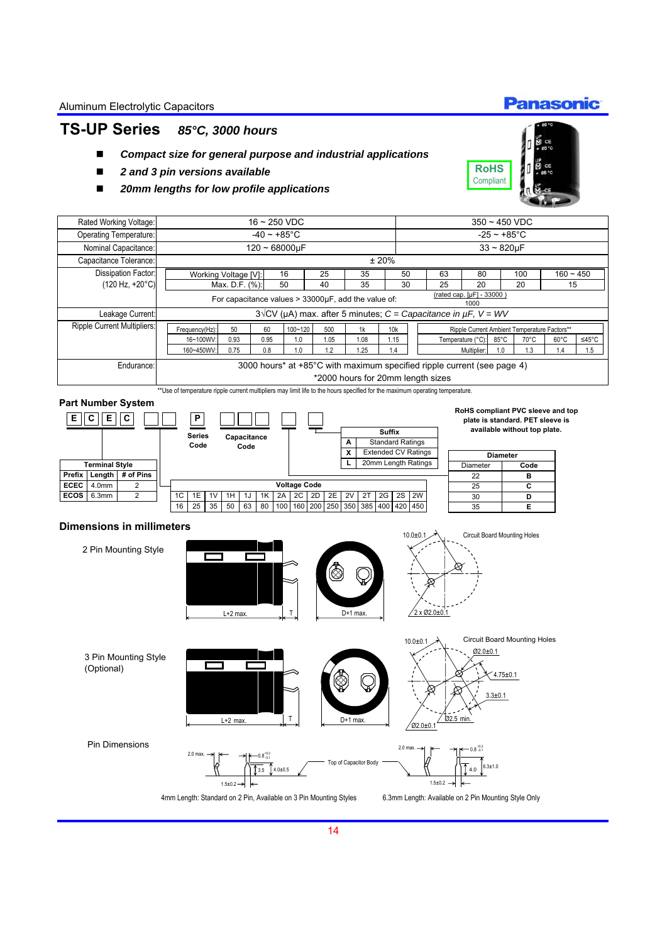### **TS-UP Series** *85°C, 3000 hours*

- *Compact size for general purpose and industrial applications*
- *2 and 3 pin versions available*
- *20mm lengths for low profile applications*



**Panasonic** 

35 **E**

450

|                       |                                                              | Rated Working Voltage:             |  | $16 - 250$ VDC                                                                                                               |                |      |                     |          |                                                            |                            |                                              | $350 - 450$ VDC       |                                                                         |                 |                              |                |       |
|-----------------------|--------------------------------------------------------------|------------------------------------|--|------------------------------------------------------------------------------------------------------------------------------|----------------|------|---------------------|----------|------------------------------------------------------------|----------------------------|----------------------------------------------|-----------------------|-------------------------------------------------------------------------|-----------------|------------------------------|----------------|-------|
|                       |                                                              | Operating Temperature:             |  | $-40 - +85^{\circ}$ C                                                                                                        |                |      |                     |          |                                                            |                            |                                              | $-25 - +85^{\circ}$ C |                                                                         |                 |                              |                |       |
|                       |                                                              | Nominal Capacitance:               |  | $120 - 68000 \mu F$                                                                                                          |                |      |                     |          |                                                            |                            |                                              |                       | $33 - 820 \mu F$                                                        |                 |                              |                |       |
|                       |                                                              | Capacitance Tolerance:             |  |                                                                                                                              |                |      |                     |          |                                                            | ±20%                       |                                              |                       |                                                                         |                 |                              |                |       |
|                       |                                                              | Dissipation Factor:                |  | Working Voltage [V]:                                                                                                         |                |      | 16                  | 25       | 35                                                         |                            | 50                                           | 63                    | 80                                                                      |                 | 100                          | $160 - 450$    |       |
|                       |                                                              | $(120 Hz, +20°C)$                  |  |                                                                                                                              | Max. D.F. (%): |      | 50                  | 40       | 35                                                         |                            | 30                                           | 25                    | 20                                                                      |                 | 20                           | 15             |       |
|                       |                                                              |                                    |  |                                                                                                                              |                |      |                     |          | For capacitance values $> 33000 \mu F$ , add the value of: |                            |                                              |                       | (rated cap. [µF] - 33000 )<br>1000                                      |                 |                              |                |       |
|                       |                                                              | Leakage Current:                   |  |                                                                                                                              |                |      |                     |          |                                                            |                            |                                              |                       | $3\sqrt{CV}$ (µA) max. after 5 minutes; C = Capacitance in µF, V = WV   |                 |                              |                |       |
|                       |                                                              | <b>Ripple Current Multipliers:</b> |  | 1k<br>100~120<br>Frequency(Hz):<br>50<br>60<br>500                                                                           |                |      |                     |          | 10k                                                        |                            | Ripple Current Ambient Temperature Factors** |                       |                                                                         |                 |                              |                |       |
|                       |                                                              |                                    |  | 16~100WV:                                                                                                                    | 0.93           | 0.95 | 1.0                 | 1.05     | 1.08                                                       | 1.15                       |                                              |                       | Temperature (°C):                                                       | $85^{\circ}$ C  | $70^{\circ}$ C               | $60^{\circ}$ C | ≤45°C |
|                       |                                                              |                                    |  | 160~450WV:                                                                                                                   | 0.75           | 0.8  | 1.0                 | 1.2      | 1.25                                                       | 1.4                        |                                              |                       | Multiplier:                                                             | 1.0             | 1.3                          | 1.4            | 1.5   |
|                       |                                                              | Endurance:                         |  |                                                                                                                              |                |      |                     |          |                                                            |                            |                                              |                       | 3000 hours* at +85°C with maximum specified ripple current (see page 4) |                 |                              |                |       |
|                       |                                                              |                                    |  | *2000 hours for 20mm length sizes                                                                                            |                |      |                     |          |                                                            |                            |                                              |                       |                                                                         |                 |                              |                |       |
|                       |                                                              |                                    |  | **Use of temperature ripple current multipliers may limit life to the hours specified for the maximum operating temperature. |                |      |                     |          |                                                            |                            |                                              |                       |                                                                         |                 |                              |                |       |
|                       |                                                              | <b>Part Number System</b>          |  |                                                                                                                              |                |      |                     |          |                                                            |                            |                                              |                       |                                                                         |                 |                              |                |       |
| Е                     | Е<br>C                                                       | C                                  |  | Ρ                                                                                                                            |                |      |                     |          |                                                            |                            |                                              |                       | RoHS compliant PVC sleeve and top<br>plate is standard. PET sleeve is   |                 |                              |                |       |
|                       |                                                              |                                    |  |                                                                                                                              |                |      |                     |          |                                                            | <b>Suffix</b>              |                                              |                       |                                                                         |                 | available without top plate. |                |       |
|                       | <b>Series</b><br>Capacitance<br><b>Standard Ratings</b><br>A |                                    |  |                                                                                                                              |                |      |                     |          |                                                            |                            |                                              |                       |                                                                         |                 |                              |                |       |
|                       |                                                              |                                    |  | Code                                                                                                                         | Code           |      |                     |          | x                                                          | <b>Extended CV Ratings</b> |                                              |                       |                                                                         | <b>Diameter</b> |                              |                |       |
| <b>Terminal Style</b> |                                                              |                                    |  |                                                                                                                              |                |      |                     |          |                                                            | 20mm Length Ratings        |                                              |                       | Diameter                                                                |                 | Code                         |                |       |
| Prefix                | Length                                                       | # of Pins                          |  |                                                                                                                              |                |      |                     |          |                                                            |                            |                                              |                       | 22                                                                      |                 | в                            |                |       |
| <b>ECEC</b>           | 4.0 <sub>mm</sub>                                            | 2                                  |  |                                                                                                                              |                |      | <b>Voltage Code</b> |          |                                                            |                            |                                              |                       | 25                                                                      |                 | C                            |                |       |
| <b>ECOS</b>           | 6.3mm                                                        | $\overline{2}$                     |  | 1C<br>1E<br>1V                                                                                                               | 1H   1J        | 1K   | 2A 2C               | 2D<br>2E | 2V<br>2T                                                   | $2G$   2S   2W             |                                              |                       | 30                                                                      |                 | D                            |                |       |

#### **Dimensions in millimeters**

16



25 | 35 | 50 | 63 | 80 |100 |160 |200 |250 |350 |385 |400 |420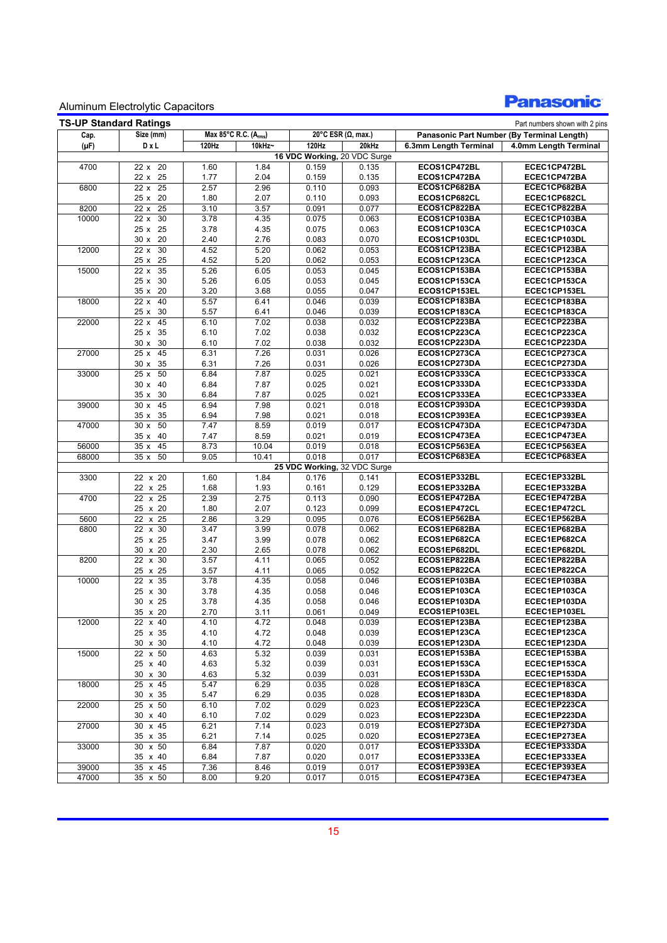### **Panasonic**

| <b>TS-UP Standard Ratings</b><br>Part numbers shown with 2 pins |                              |                      |              |                              |                    |                                            |                              |  |  |
|-----------------------------------------------------------------|------------------------------|----------------------|--------------|------------------------------|--------------------|--------------------------------------------|------------------------------|--|--|
| Size (mm)<br>Cap.                                               |                              | Max 85°C R.C. (Arms) |              |                              | 20°C ESR (Ω, max.) | Panasonic Part Number (By Terminal Length) |                              |  |  |
| $(\mu F)$                                                       | DxL                          | 120Hz                | 10kHz~       | 120Hz                        | 20kHz              | 6.3mm Length Terminal                      | 4.0mm Length Terminal        |  |  |
|                                                                 |                              |                      |              | 16 VDC Working, 20 VDC Surge |                    |                                            |                              |  |  |
| 4700                                                            | 22 x 20                      | 1.60                 | 1.84         | 0.159                        | 0.135              | ECOS1CP472BL                               | ECEC1CP472BL                 |  |  |
|                                                                 | 22 x 25                      | 1.77                 | 2.04         | 0.159                        | 0.135              | ECOS1CP472BA                               | ECEC1CP472BA                 |  |  |
| 6800                                                            | $22 \times 25$               | 2.57                 | 2.96         | 0.110                        | 0.093              | ECOS1CP682BA                               | ECEC1CP682BA                 |  |  |
|                                                                 | 25 x 20                      | 1.80                 | 2.07         | 0.110                        | 0.093              | ECOS1CP682CL                               | ECEC1CP682CL                 |  |  |
| 8200                                                            | 25<br>22 x                   | 3.10                 | 3.57         | 0.091                        | 0.077              | ECOS1CP822BA                               | ECEC1CP822BA                 |  |  |
| 10000                                                           | 22 x<br>30                   | 3.78                 | 4.35         | 0.075                        | 0.063              | ECOS1CP103BA                               | ECEC1CP103BA                 |  |  |
|                                                                 | 25 x 25                      | 3.78                 | 4.35         | 0.075                        | 0.063              | ECOS1CP103CA                               | ECEC1CP103CA                 |  |  |
|                                                                 | 30 x 20                      | 2.40                 | 2.76         | 0.083                        | 0.070              | ECOS1CP103DL<br>ECOS1CP123BA               | ECEC1CP103DL                 |  |  |
| 12000                                                           | 30<br>22x                    | 4.52                 | 5.20         | 0.062                        | 0.053              | ECOS1CP123CA                               | ECEC1CP123BA<br>ECEC1CP123CA |  |  |
| 15000                                                           | 25<br>25x<br>22 x<br>35      | 4.52<br>5.26         | 5.20<br>6.05 | 0.062<br>0.053               | 0.053<br>0.045     | ECOS1CP153BA                               | ECEC1CP153BA                 |  |  |
|                                                                 | 25 x 30                      | 5.26                 | 6.05         | 0.053                        | 0.045              | ECOS1CP153CA                               | ECEC1CP153CA                 |  |  |
|                                                                 | 35x<br>20                    | 3.20                 | 3.68         | 0.055                        | 0.047              | ECOS1CP153EL                               | ECEC1CP153EL                 |  |  |
| 18000                                                           | $\overline{2}2 \times$<br>40 | 5.57                 | 6.41         | 0.046                        | 0.039              | ECOS1CP183BA                               | ECEC1CP183BA                 |  |  |
|                                                                 | 25x<br>30                    | 5.57                 | 6.41         | 0.046                        | 0.039              | ECOS1CP183CA                               | ECEC1CP183CA                 |  |  |
| 22000                                                           | 45<br>22 x                   | 6.10                 | 7.02         | 0.038                        | 0.032              | ECOS1CP223BA                               | ECEC1CP223BA                 |  |  |
|                                                                 | 25 x 35                      | 6.10                 | 7.02         | 0.038                        | 0.032              | ECOS1CP223CA                               | ECEC1CP223CA                 |  |  |
|                                                                 | 30 x 30                      | 6.10                 | 7.02         | 0.038                        | 0.032              | ECOS1CP223DA                               | ECEC1CP223DA                 |  |  |
| 27000                                                           | 25 x 45                      | 6.31                 | 7.26         | 0.031                        | 0.026              | ECOS1CP273CA                               | ECEC1CP273CA                 |  |  |
|                                                                 | 30 x 35                      | 6.31                 | 7.26         | 0.031                        | 0.026              | ECOS1CP273DA                               | ECEC1CP273DA                 |  |  |
| 33000                                                           | 50<br>25x                    | 6.84                 | 7.87         | 0.025                        | 0.021              | ECOS1CP333CA                               | ECEC1CP333CA                 |  |  |
|                                                                 | $30 \times 40$               | 6.84                 | 7.87         | 0.025                        | 0.021              | ECOS1CP333DA                               | ECEC1CP333DA                 |  |  |
|                                                                 | 30<br>35x                    | 6.84                 | 7.87         | 0.025                        | 0.021              | ECOS1CP333EA                               | ECEC1CP333EA                 |  |  |
| 39000                                                           | 30x<br>45                    | 6.94                 | 7.98         | 0.021                        | 0.018              | ECOS1CP393DA                               | ECEC1CP393DA                 |  |  |
|                                                                 | 35<br>35x                    | 6.94                 | 7.98         | 0.021                        | 0.018              | ECOS1CP393EA                               | ECEC1CP393EA                 |  |  |
| 47000                                                           | 30x<br>50                    | 7.47                 | 8.59         | 0.019                        | 0.017              | ECOS1CP473DA                               | ECEC1CP473DA                 |  |  |
|                                                                 | 40<br>35x                    | 7.47                 | 8.59         | 0.021                        | 0.019              | ECOS1CP473EA                               | ECEC1CP473EA                 |  |  |
| 56000                                                           | $\overline{35}$ x<br>45      | 8.73                 | 10.04        | 0.019                        | 0.018              | ECOS1CP563EA                               | ECEC1CP563EA                 |  |  |
| 68000                                                           | 50<br>35x                    | 9.05                 | 10.41        | 0.018                        | 0.017              | ECOS1CP683EA                               | ECEC1CP683EA                 |  |  |
|                                                                 |                              |                      |              | 25 VDC Working, 32 VDC Surge |                    |                                            |                              |  |  |
| 3300                                                            | 22 x 20<br>22 x 25           | 1.60<br>1.68         | 1.84<br>1.93 | 0.176                        | 0.141<br>0.129     | ECOS1EP332BL<br>ECOS1EP332BA               | ECEC1EP332BL<br>ECEC1EP332BA |  |  |
| 4700                                                            | 22 x 25                      | 2.39                 | 2.75         | 0.161<br>0.113               | 0.090              | ECOS1EP472BA                               | ECEC1EP472BA                 |  |  |
|                                                                 | 25 x 20                      | 1.80                 | 2.07         | 0.123                        | 0.099              | ECOS1EP472CL                               | ECEC1EP472CL                 |  |  |
| 5600                                                            | $x$ 25<br>22                 | 2.86                 | 3.29         | 0.095                        | 0.076              | ECOS1EP562BA                               | ECEC1EP562BA                 |  |  |
| 6800                                                            | 22 x 30                      | 3.47                 | 3.99         | 0.078                        | 0.062              | ECOS1EP682BA                               | ECEC1EP682BA                 |  |  |
|                                                                 | 25 x 25                      | 3.47                 | 3.99         | 0.078                        | 0.062              | ECOS1EP682CA                               | ECEC1EP682CA                 |  |  |
|                                                                 | 30 x 20                      | 2.30                 | 2.65         | 0.078                        | 0.062              | ECOS1EP682DL                               | ECEC1EP682DL                 |  |  |
| 8200                                                            | 22 x 30                      | 3.57                 | 4.11         | 0.065                        | 0.052              | ECOS1EP822BA                               | ECEC1EP822BA                 |  |  |
|                                                                 | 25 x 25                      | 3.57                 | 4.11         | 0.065                        | 0.052              | ECOS1EP822CA                               | ECEC1EP822CA                 |  |  |
| 10000                                                           | $x$ 35<br>22                 | 3.78                 | 4.35         | 0.058                        | 0.046              | ECOS1EP103BA                               | ECEC1EP103BA                 |  |  |
|                                                                 | 25 x 30                      | 3.78                 | 4.35         | 0.058                        | 0.046              | ECOS1EP103CA                               | ECEC1EP103CA                 |  |  |
|                                                                 | 30 x 25                      | 3.78                 | 4.35         | 0.058                        | 0.046              | ECOS1EP103DA                               | ECEC1EP103DA                 |  |  |
|                                                                 | 35 x 20                      | 2.70                 | 3.11         | 0.061                        | 0.049              | ECOS1EP103EL                               | ECEC1EP103EL                 |  |  |
| 12000                                                           | 22 x 40                      | 4.10                 | 4.72         | 0.048                        | 0.039              | ECOS1EP123BA                               | ECEC1EP123BA                 |  |  |
|                                                                 | 25 x 35                      | 4.10                 | 4.72         | 0.048                        | 0.039              | ECOS1EP123CA                               | ECEC1EP123CA                 |  |  |
|                                                                 | 30 x 30                      | 4.10                 | 4.72         | 0.048                        | 0.039              | ECOS1EP123DA                               | ECEC1EP123DA                 |  |  |
| 15000                                                           | 22 x 50                      | 4.63                 | 5.32         | 0.039                        | 0.031              | ECOS1EP153BA                               | ECEC1EP153BA                 |  |  |
|                                                                 | 25 x 40                      | 4.63                 | 5.32         | 0.039                        | 0.031              | ECOS1EP153CA                               | ECEC1EP153CA                 |  |  |
|                                                                 | 30 x 30                      | 4.63                 | 5.32         | 0.039                        | 0.031              | ECOS1EP153DA                               | ECEC1EP153DA                 |  |  |
| 18000                                                           | 25 x 45                      | 5.47                 | 6.29         | 0.035                        | 0.028              | ECOS1EP183CA                               | ECEC1EP183CA                 |  |  |
|                                                                 | 30 x 35                      | 5.47                 | 6.29         | 0.035                        | 0.028              | ECOS1EP183DA<br>ECOS1EP223CA               | ECEC1EP183DA<br>ECEC1EP223CA |  |  |
| 22000                                                           | 25 x 50<br>30 x 40           | 6.10<br>6.10         | 7.02<br>7.02 | 0.029<br>0.029               | 0.023<br>0.023     | ECOS1EP223DA                               | ECEC1EP223DA                 |  |  |
| 27000                                                           | 30 x 45                      | 6.21                 | 7.14         | 0.023                        | 0.019              | ECOS1EP273DA                               | ECEC1EP273DA                 |  |  |
|                                                                 | 35 x 35                      | 6.21                 | 7.14         | 0.025                        | 0.020              | ECOS1EP273EA                               | ECEC1EP273EA                 |  |  |
| 33000                                                           | 30 x 50                      | 6.84                 | 7.87         | 0.020                        | 0.017              | ECOS1EP333DA                               | ECEC1EP333DA                 |  |  |
|                                                                 | 35 x 40                      | 6.84                 | 7.87         | 0.020                        | 0.017              | ECOS1EP333EA                               | ECEC1EP333EA                 |  |  |
| 39000                                                           | 35 x 45                      | 7.36                 | 8.46         | 0.019                        | 0.017              | ECOS1EP393EA                               | ECEC1EP393EA                 |  |  |
| 47000                                                           | 35 x 50                      | 8.00                 | 9.20         | 0.017                        | 0.015              | ECOS1EP473EA                               | ECEC1EP473EA                 |  |  |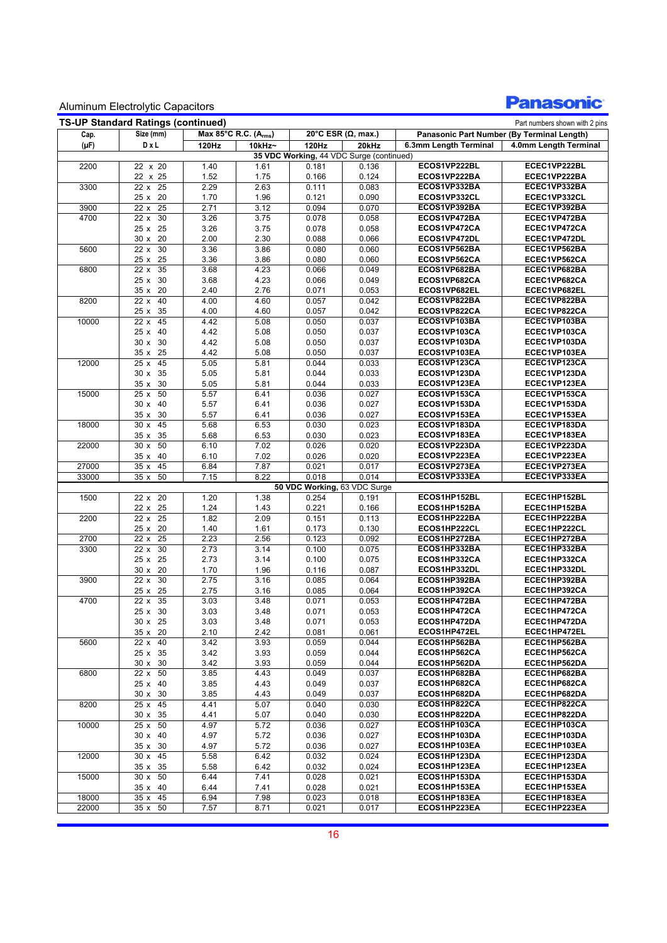# **Panasonic**

| <b>TS-UP Standard Ratings (continued)</b><br>Part numbers shown with 2 pins |                              |                      |              |                              |                                          |                              |                                            |  |  |
|-----------------------------------------------------------------------------|------------------------------|----------------------|--------------|------------------------------|------------------------------------------|------------------------------|--------------------------------------------|--|--|
| Cap.                                                                        | Size (mm)                    | Max 85°C R.C. (Arms) |              |                              | 20°C ESR ( $\Omega$ , max.)              |                              | Panasonic Part Number (By Terminal Length) |  |  |
| $(\mu F)$                                                                   | DxL                          | 120Hz                | 10kHz~       | 120Hz                        | 20kHz                                    | 6.3mm Length Terminal        | 4.0mm Length Terminal                      |  |  |
|                                                                             |                              |                      |              |                              | 35 VDC Working, 44 VDC Surge (continued) |                              |                                            |  |  |
| 2200                                                                        | 22 x 20                      | 1.40                 | 1.61         | 0.181                        | 0.136                                    | ECOS1VP222BL                 | ECEC1VP222BL                               |  |  |
|                                                                             | 22 x 25                      | 1.52                 | 1.75         | 0.166                        | 0.124                                    | ECOS1VP222BA                 | ECEC1VP222BA                               |  |  |
| 3300                                                                        | 22 x 25                      | 2.29                 | 2.63         | 0.111                        | 0.083                                    | ECOS1VP332BA                 | ECEC1VP332BA                               |  |  |
|                                                                             | 25 x 20                      | 1.70                 | 1.96         | 0.121                        | 0.090                                    | ECOS1VP332CL                 | ECEC1VP332CL                               |  |  |
| 3900                                                                        | $22 \times 25$               | 2.71                 | 3.12         | 0.094                        | 0.070                                    | ECOS1VP392BA                 | ECEC1VP392BA                               |  |  |
| 4700                                                                        | 22x<br>30                    | 3.26                 | 3.75         | 0.078                        | 0.058                                    | ECOS1VP472BA                 | ECEC1VP472BA                               |  |  |
|                                                                             | 25 x 25                      | 3.26                 | 3.75         | 0.078                        | 0.058                                    | ECOS1VP472CA                 | ECEC1VP472CA                               |  |  |
|                                                                             | 30 x 20                      | 2.00                 | 2.30         | 0.088                        | 0.066                                    | ECOS1VP472DL                 | ECEC1VP472DL                               |  |  |
| 5600                                                                        | 22 x 30                      | 3.36                 | 3.86         | 0.080                        | 0.060                                    | ECOS1VP562BA                 | ECEC1VP562BA                               |  |  |
|                                                                             | 25 x 25                      | 3.36                 | 3.86         | 0.080                        | 0.060                                    | ECOS1VP562CA                 | ECEC1VP562CA                               |  |  |
| 6800                                                                        | 35<br>22 x                   | 3.68                 | 4.23         | 0.066                        | 0.049                                    | ECOS1VP682BA                 | ECEC1VP682BA                               |  |  |
|                                                                             | 25 x 30                      | 3.68                 | 4.23         | 0.066                        | 0.049                                    | ECOS1VP682CA                 | ECEC1VP682CA                               |  |  |
|                                                                             | 35 x 20                      | 2.40                 | 2.76         | 0.071                        | 0.053                                    | ECOS1VP682EL                 | ECEC1VP682EL                               |  |  |
| 8200                                                                        | 22 x 40                      | 4.00                 | 4.60         | 0.057                        | 0.042                                    | ECOS1VP822BA                 | ECEC1VP822BA                               |  |  |
|                                                                             | 25 x 35                      | 4.00                 | 4.60         | 0.057                        | 0.042                                    | ECOS1VP822CA                 | ECEC1VP822CA                               |  |  |
| 10000                                                                       | 22 x 45                      | 4.42                 | 5.08         | 0.050                        | 0.037                                    | ECOS1VP103BA                 | ECEC1VP103BA                               |  |  |
|                                                                             | 25 x 40                      | 4.42                 | 5.08         | 0.050                        | 0.037                                    | ECOS1VP103CA                 | ECEC1VP103CA                               |  |  |
|                                                                             | 30 x 30                      | 4.42                 | 5.08         | 0.050                        | 0.037                                    | ECOS1VP103DA                 | ECEC1VP103DA                               |  |  |
|                                                                             | 35 x 25                      | 4.42                 | 5.08         | 0.050                        | 0.037                                    | ECOS1VP103EA<br>ECOS1VP123CA | ECEC1VP103EA<br>ECEC1VP123CA               |  |  |
| 12000                                                                       | 25 x 45<br>30 x 35           | 5.05                 | 5.81         | 0.044                        | 0.033<br>0.033                           | ECOS1VP123DA                 |                                            |  |  |
|                                                                             | 35 x 30                      | 5.05                 | 5.81         | 0.044                        | 0.033                                    | ECOS1VP123EA                 | ECEC1VP123DA<br>ECEC1VP123EA               |  |  |
| 15000                                                                       | $25 \times 50$               | 5.05<br>5.57         | 5.81<br>6.41 | 0.044<br>0.036               | 0.027                                    | ECOS1VP153CA                 | ECEC1VP153CA                               |  |  |
|                                                                             | 30 x 40                      | 5.57                 | 6.41         | 0.036                        | 0.027                                    | ECOS1VP153DA                 | ECEC1VP153DA                               |  |  |
|                                                                             | 35 x 30                      | 5.57                 | 6.41         | 0.036                        | 0.027                                    | ECOS1VP153EA                 | ECEC1VP153EA                               |  |  |
| 18000                                                                       | 30x<br>45                    | 5.68                 | 6.53         | 0.030                        | 0.023                                    | ECOS1VP183DA                 | ECEC1VP183DA                               |  |  |
|                                                                             | 35 x 35                      | 5.68                 | 6.53         | 0.030                        | 0.023                                    | ECOS1VP183EA                 | ECEC1VP183EA                               |  |  |
| 22000                                                                       | 30 x 50                      | 6.10                 | 7.02         | 0.026                        | 0.020                                    | ECOS1VP223DA                 | ECEC1VP223DA                               |  |  |
|                                                                             | 35 x 40                      | 6.10                 | 7.02         | 0.026                        | 0.020                                    | ECOS1VP223EA                 | ECEC1VP223EA                               |  |  |
| 27000                                                                       | $\overline{35} \times$<br>45 | 6.84                 | 7.87         | 0.021                        | 0.017                                    | ECOS1VP273EA                 | ECEC1VP273EA                               |  |  |
| 33000                                                                       | 50<br>$\overline{35} \times$ | 7.15                 | 8.22         | 0.018                        | 0.014                                    | ECOS1VP333EA                 | ECEC1VP333EA                               |  |  |
|                                                                             |                              |                      |              | 50 VDC Working, 63 VDC Surge |                                          |                              |                                            |  |  |
| 1500                                                                        | 22 x 20                      | 1.20                 | 1.38         | 0.254                        | 0.191                                    | ECOS1HP152BL                 | ECEC1HP152BL                               |  |  |
|                                                                             | 22 x 25                      | 1.24                 | 1.43         | 0.221                        | 0.166                                    | ECOS1HP152BA                 | ECEC1HP152BA                               |  |  |
| 2200                                                                        | 22 x 25                      | 1.82                 | 2.09         | 0.151                        | 0.113                                    | ECOS1HP222BA                 | ECEC1HP222BA                               |  |  |
|                                                                             | 25 x 20                      | 1.40                 | 1.61         | 0.173                        | 0.130                                    | ECOS1HP222CL                 | ECEC1HP222CL                               |  |  |
| 2700                                                                        | 22 x 25                      | 2.23                 | 2.56         | 0.123                        | 0.092                                    | ECOS1HP272BA                 | ECEC1HP272BA                               |  |  |
| 3300                                                                        | 22 x 30                      | 2.73                 | 3.14         | 0.100                        | 0.075                                    | ECOS1HP332BA                 | ECEC1HP332BA                               |  |  |
|                                                                             | 25 x 25                      | 2.73                 | 3.14         | 0.100                        | 0.075                                    | ECOS1HP332CA                 | ECEC1HP332CA                               |  |  |
|                                                                             | 30 x 20                      | 1.70                 | 1.96         | 0.116                        | 0.087                                    | ECOS1HP332DL                 | ECEC1HP332DL                               |  |  |
| 3900                                                                        | 22 x 30                      | 2.75                 | 3.16         | 0.085                        | 0.064                                    | ECOS1HP392BA                 | ECEC1HP392BA                               |  |  |
|                                                                             | 25 x 25                      | 2.75                 | 3.16         | 0.085                        | 0.064                                    | ECOS1HP392CA                 | ECEC1HP392CA                               |  |  |
| 4700                                                                        | 35<br>22 x                   | 3.03                 | 3.48         | 0.071                        | 0.053                                    | ECOS1HP472BA                 | ECEC1HP472BA                               |  |  |
|                                                                             | 25 x 30                      | 3.03                 | 3.48         | 0.071                        | 0.053                                    | ECOS1HP472CA                 | ECEC1HP472CA                               |  |  |
|                                                                             | 30 x 25                      | 3.03                 | 3.48         | 0.071                        | 0.053                                    | ECOS1HP472DA                 | ECEC1HP472DA                               |  |  |
|                                                                             | 35 x 20                      | 2.10                 | 2.42         | 0.081                        | 0.061                                    | ECOS1HP472EL                 | ECEC1HP472EL                               |  |  |
| 5600                                                                        | 22 x 40                      | 3.42                 | 3.93         | 0.059                        | 0.044                                    | ECOS1HP562BA                 | ECEC1HP562BA                               |  |  |
|                                                                             | 25 x 35                      | 3.42                 | 3.93         | 0.059                        | 0.044                                    | ECOS1HP562CA                 | ECEC1HP562CA                               |  |  |
|                                                                             | 30 x 30                      | 3.42                 | 3.93         | 0.059                        | 0.044                                    | ECOS1HP562DA                 | ECEC1HP562DA                               |  |  |
| 6800                                                                        | 22 x 50                      | 3.85                 | 4.43         | 0.049                        | 0.037                                    | ECOS1HP682BA                 | ECEC1HP682BA                               |  |  |
|                                                                             | 25 x 40                      | 3.85                 | 4.43         | 0.049                        | 0.037                                    | ECOS1HP682CA<br>ECOS1HP682DA | ECEC1HP682CA                               |  |  |
|                                                                             | 30 x 30                      | 3.85                 | 4.43         | 0.049                        | 0.037                                    | ECOS1HP822CA                 | ECEC1HP682DA                               |  |  |
| 8200                                                                        | 25 x 45                      | 4.41<br>4.41         | 5.07         | 0.040                        | 0.030                                    | ECOS1HP822DA                 | ECEC1HP822CA<br>ECEC1HP822DA               |  |  |
| 10000                                                                       | 30 x 35<br>25 x 50           | 4.97                 | 5.07<br>5.72 | 0.040<br>0.036               | 0.030<br>0.027                           | ECOS1HP103CA                 | ECEC1HP103CA                               |  |  |
|                                                                             | $30 \times 40$               | 4.97                 | 5.72         | 0.036                        | 0.027                                    | ECOS1HP103DA                 | ECEC1HP103DA                               |  |  |
|                                                                             | 35 x 30                      | 4.97                 | 5.72         | 0.036                        | 0.027                                    | ECOS1HP103EA                 | ECEC1HP103EA                               |  |  |
| 12000                                                                       | 30 x 45                      | 5.58                 | 6.42         | 0.032                        | 0.024                                    | ECOS1HP123DA                 | ECEC1HP123DA                               |  |  |
|                                                                             | 35 x 35                      | 5.58                 | 6.42         | 0.032                        | 0.024                                    | ECOS1HP123EA                 | ECEC1HP123EA                               |  |  |
| 15000                                                                       | 30 x 50                      | 6.44                 | 7.41         | 0.028                        | 0.021                                    | ECOS1HP153DA                 | ECEC1HP153DA                               |  |  |
|                                                                             | 35 x 40                      | 6.44                 | 7.41         | 0.028                        | 0.021                                    | ECOS1HP153EA                 | ECEC1HP153EA                               |  |  |
| 18000                                                                       | 35 x 45                      | 6.94                 | 7.98         | 0.023                        | 0.018                                    | ECOS1HP183EA                 | ECEC1HP183EA                               |  |  |
| 22000                                                                       | 35 x 50                      | 7.57                 | 8.71         | 0.021                        | 0.017                                    | ECOS1HP223EA                 | ECEC1HP223EA                               |  |  |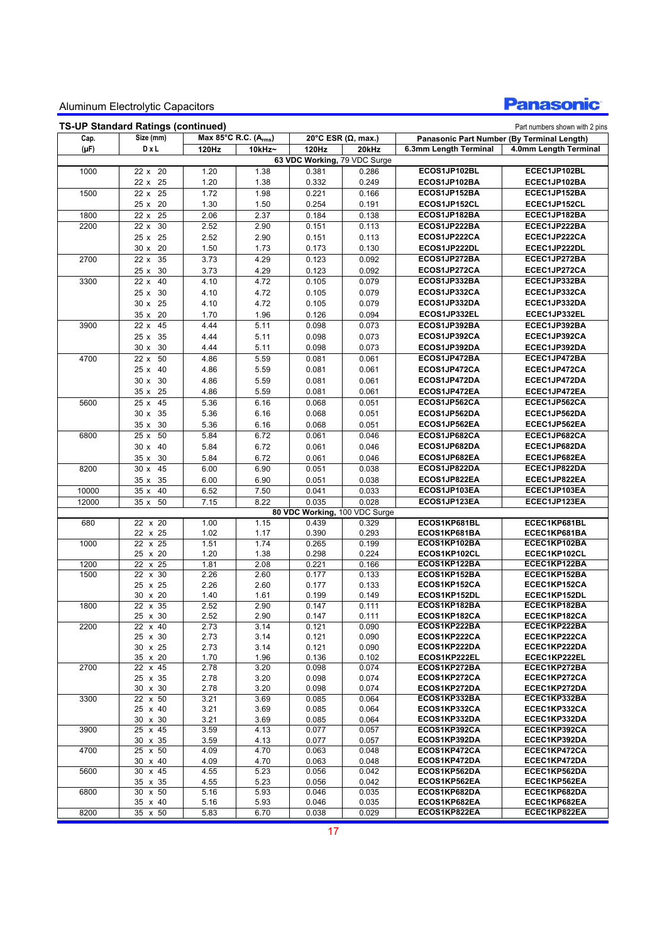

| Cap.      | Size (mm)      | Max 85°C R.C. (Arms) |        |                               | 20°C ESR $(\Omega, \text{max.})$ |                       | Panasonic Part Number (By Terminal Length) |
|-----------|----------------|----------------------|--------|-------------------------------|----------------------------------|-----------------------|--------------------------------------------|
| $(\mu F)$ | DxL            | 120Hz                | 10kHz~ | <b>120Hz</b>                  | 20kHz                            | 6.3mm Length Terminal | 4.0mm Length Terminal                      |
|           |                |                      |        | 63 VDC Working, 79 VDC Surge  |                                  |                       |                                            |
| 1000      | 22 x 20        | 1.20                 | 1.38   | 0.381                         | 0.286                            | ECOS1JP102BL          | ECEC1JP102BL                               |
|           | 22 x 25        | 1.20                 | 1.38   | 0.332                         | 0.249                            | ECOS1JP102BA          | ECEC1JP102BA                               |
| 1500      | 22 x 25        | 1.72                 | 1.98   | 0.221                         | 0.166                            | ECOS1JP152BA          | ECEC1JP152BA                               |
|           | 25 x 20        | 1.30                 |        | 0.254                         | 0.191                            | ECOS1JP152CL          | ECEC1JP152CL                               |
|           |                |                      | 1.50   |                               |                                  |                       |                                            |
| 1800      | $22x$ 25       | 2.06                 | 2.37   | 0.184                         | 0.138                            | ECOS1JP182BA          | ECEC1JP182BA                               |
| 2200      | 22 x 30        | 2.52                 | 2.90   | 0.151                         | 0.113                            | ECOS1JP222BA          | ECEC1JP222BA                               |
|           | 25 x 25        | 2.52                 | 2.90   | 0.151                         | 0.113                            | ECOS1JP222CA          | ECEC1JP222CA                               |
|           | 30 x 20        | 1.50                 | 1.73   | 0.173                         | 0.130                            | ECOS1JP222DL          | ECEC1JP222DL                               |
| 2700      | 35<br>22 x     | 3.73                 | 4.29   | 0.123                         | 0.092                            | ECOS1JP272BA          | ECEC1JP272BA                               |
|           | 25 x 30        | 3.73                 | 4.29   | 0.123                         | 0.092                            | ECOS1JP272CA          | ECEC1JP272CA                               |
| 3300      | 22 x 40        | 4.10                 | 4.72   | 0.105                         | 0.079                            | ECOS1JP332BA          | ECEC1JP332BA                               |
|           | 25 x 30        | 4.10                 | 4.72   | 0.105                         | 0.079                            | ECOS1JP332CA          | ECEC1JP332CA                               |
|           | 30 x 25        | 4.10                 | 4.72   | 0.105                         | 0.079                            | ECOS1JP332DA          | ECEC1JP332DA                               |
|           | 35 x 20        | 1.70                 | 1.96   | 0.126                         | 0.094                            | ECOS1JP332EL          | ECEC1JP332EL                               |
| 3900      | 22 x 45        | 4.44                 | 5.11   | 0.098                         | 0.073                            | ECOS1JP392BA          | ECEC1JP392BA                               |
|           | 25 x 35        | 4.44                 | 5.11   | 0.098                         | 0.073                            | ECOS1JP392CA          | ECEC1JP392CA                               |
|           |                |                      |        |                               |                                  |                       |                                            |
|           | 30 x 30        | 4.44                 | 5.11   | 0.098                         | 0.073                            | ECOS1JP392DA          | ECEC1JP392DA                               |
| 4700      | 22 x 50        | 4.86                 | 5.59   | 0.081                         | 0.061                            | ECOS1JP472BA          | ECEC1JP472BA                               |
|           | 25 x 40        | 4.86                 | 5.59   | 0.081                         | 0.061                            | ECOS1JP472CA          | ECEC1JP472CA                               |
|           | 30 x 30        | 4.86                 | 5.59   | 0.081                         | 0.061                            | ECOS1JP472DA          | ECEC1JP472DA                               |
|           | 35 x 25        | 4.86                 | 5.59   | 0.081                         | 0.061                            | ECOS1JP472EA          | ECEC1JP472EA                               |
| 5600      | 25 x 45        | 5.36                 | 6.16   | 0.068                         | 0.051                            | ECOS1JP562CA          | ECEC1JP562CA                               |
|           | 30 x 35        | 5.36                 | 6.16   | 0.068                         | 0.051                            | ECOS1JP562DA          | ECEC1JP562DA                               |
|           | 35 x 30        | 5.36                 | 6.16   | 0.068                         | 0.051                            | ECOS1JP562EA          | ECEC1JP562EA                               |
| 6800      | 25x<br>50      | 5.84                 | 6.72   | 0.061                         | 0.046                            | ECOS1JP682CA          | ECEC1JP682CA                               |
|           | 30 x 40        | 5.84                 | 6.72   | 0.061                         | 0.046                            | ECOS1JP682DA          | ECEC1JP682DA                               |
|           | 35 x 30        | 5.84                 | 6.72   | 0.061                         | 0.046                            | ECOS1JP682EA          | ECEC1JP682EA                               |
|           | 30 x 45        | 6.00                 | 6.90   | 0.051                         | 0.038                            | ECOS1JP822DA          | ECEC1JP822DA                               |
| 8200      |                |                      |        |                               |                                  | ECOS1JP822EA          | ECEC1JP822EA                               |
|           | 35 x 35        | 6.00                 | 6.90   | 0.051                         | 0.038                            |                       |                                            |
| 10000     | 35 x 40        | 6.52                 | 7.50   | 0.041                         | 0.033                            | ECOS1JP103EA          | ECEC1JP103EA                               |
| 12000     | 35x<br>50      | 7.15                 | 8.22   | 0.035                         | 0.028                            | ECOS1JP123EA          | ECEC1JP123EA                               |
|           |                |                      |        | 80 VDC Working, 100 VDC Surge |                                  |                       |                                            |
| 680       | $22 \times 20$ | 1.00                 | 1.15   | 0.439                         | 0.329                            | ECOS1KP681BL          | ECEC1KP681BL                               |
|           | 22 x 25        | 1.02                 | 1.17   | 0.390                         | 0.293                            | ECOS1KP681BA          | ECEC1KP681BA                               |
| 1000      | 22 x 25        | 1.51                 | 1.74   | 0.265                         | 0.199                            | ECOS1KP102BA          | ECEC1KP102BA                               |
|           | 25 x 20        | 1.20                 | 1.38   | 0.298                         | 0.224                            | ECOS1KP102CL          | ECEC1KP102CL                               |
| 1200      | 22 x 25        | 1.81                 | 2.08   | 0.221                         | 0.166                            | ECOS1KP122BA          | ECEC1KP122BA                               |
| 1500      | 22 x 30        | 2.26                 | 2.60   | 0.177                         | 0.133                            | ECOS1KP152BA          | ECEC1KP152BA                               |
|           | 25 x 25        | 2.26                 | 2.60   | 0.177                         | 0.133                            | ECOS1KP152CA          | ECEC1KP152CA                               |
|           | 30 x 20        | 1.40                 | 1.61   | 0.199                         | 0.149                            | ECOS1KP152DL          | ECEC1KP152DL                               |
| 1800      | 22 x 35        | 2.52                 | 2.90   | 0.147                         | 0.111                            | ECOS1KP182BA          | ECEC1KP182BA                               |
|           | 25 x 30        | 2.52                 | 2.90   | 0.147                         | 0.111                            | ECOS1KP182CA          | ECEC1KP182CA                               |
| 2200      | 22 x 40        | 2.73                 | 3.14   | 0.121                         | 0.090                            | ECOS1KP222BA          | ECEC1KP222BA                               |
|           | 25 x 30        | 2.73                 | 3.14   | 0.121                         | 0.090                            | ECOS1KP222CA          | ECEC1KP222CA                               |
|           | 30 x 25        | 2.73                 | 3.14   | 0.121                         | 0.090                            | ECOS1KP222DA          | ECEC1KP222DA                               |
|           | 35 x 20        | 1.70                 | 1.96   | 0.136                         | 0.102                            | ECOS1KP222EL          | ECEC1KP222EL                               |
| 2700      | 22 x 45        | 2.78                 | 3.20   | 0.098                         | 0.074                            | ECOS1KP272BA          | ECEC1KP272BA                               |
|           | 25 x 35        | 2.78                 | 3.20   | 0.098                         | 0.074                            | ECOS1KP272CA          | ECEC1KP272CA                               |
|           | 30 x 30        | 2.78                 | 3.20   | 0.098                         | 0.074                            | ECOS1KP272DA          | ECEC1KP272DA                               |
| 3300      | 22 x 50        | 3.21                 | 3.69   | 0.085                         | 0.064                            | ECOS1KP332BA          | ECEC1KP332BA                               |
|           | 25 x 40        | 3.21                 | 3.69   | 0.085                         | 0.064                            | ECOS1KP332CA          | ECEC1KP332CA                               |
|           | 30 x 30        | 3.21                 | 3.69   | 0.085                         | 0.064                            | ECOS1KP332DA          | ECEC1KP332DA                               |
| 3900      | 25 x 45        | 3.59                 | 4.13   | 0.077                         | 0.057                            | ECOS1KP392CA          | ECEC1KP392CA                               |
|           | 30 x 35        | 3.59                 | 4.13   | 0.077                         | 0.057                            | ECOS1KP392DA          | ECEC1KP392DA                               |
| 4700      | 25 x 50        | 4.09                 | 4.70   | 0.063                         | 0.048                            | ECOS1KP472CA          | ECEC1KP472CA                               |
|           | 30 x 40        | 4.09                 | 4.70   | 0.063                         | 0.048                            | ECOS1KP472DA          | ECEC1KP472DA                               |
| 5600      | 30 x 45        | 4.55                 | 5.23   | 0.056                         | 0.042                            | ECOS1KP562DA          | ECEC1KP562DA                               |
|           | 35 x 35        | 4.55                 | 5.23   | 0.056                         | 0.042                            | ECOS1KP562EA          | ECEC1KP562EA                               |
| 6800      | 30 x 50        | 5.16                 | 5.93   | 0.046                         | 0.035                            | ECOS1KP682DA          | ECEC1KP682DA                               |
|           | 35 x 40        | 5.16                 | 5.93   | 0.046                         | 0.035                            | ECOS1KP682EA          | ECEC1KP682EA                               |
| 8200      | 35 x 50        | 5.83                 | 6.70   | 0.038                         | 0.029                            | ECOS1KP822EA          | ECEC1KP822EA                               |
|           |                |                      |        |                               |                                  |                       |                                            |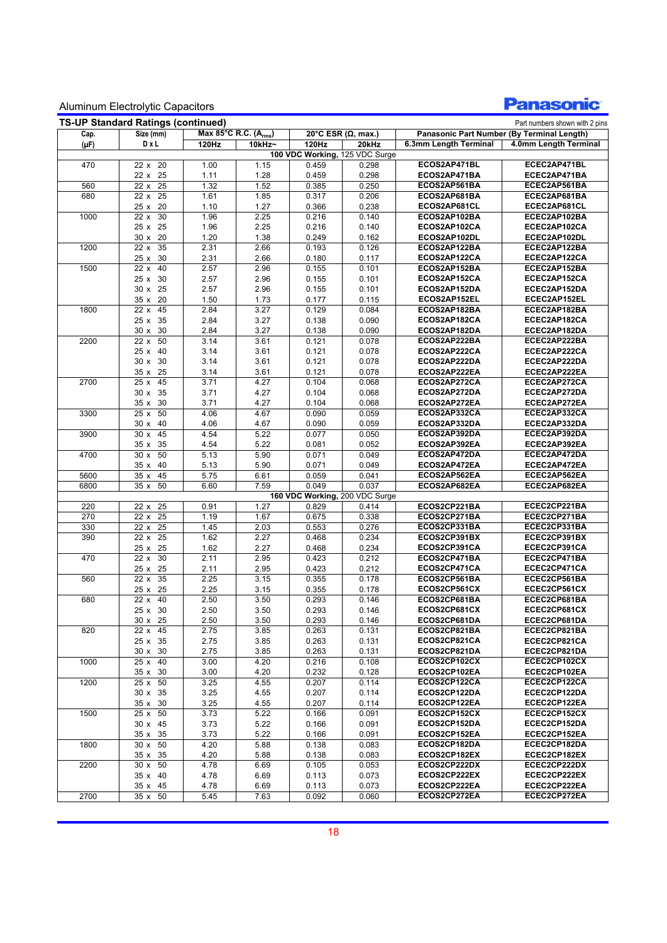

| <b>TS-UP Standard Ratings (continued)</b><br>Part numbers shown with 2 pins |                         |                      |        |       |                                  |                       |                                            |  |  |  |  |
|-----------------------------------------------------------------------------|-------------------------|----------------------|--------|-------|----------------------------------|-----------------------|--------------------------------------------|--|--|--|--|
| Cap.                                                                        | Size (mm)               | Max 85°C R.C. (Arms) |        |       | 20°C ESR $(\Omega, \text{max.})$ |                       | Panasonic Part Number (By Terminal Length) |  |  |  |  |
| $(\mu F)$                                                                   | DxL                     | 120Hz                | 10kHz~ | 120Hz | 20kHz                            | 6.3mm Length Terminal | 4.0mm Length Terminal                      |  |  |  |  |
|                                                                             |                         |                      |        |       | 100 VDC Working, 125 VDC Surge   |                       |                                            |  |  |  |  |
| 470                                                                         | 22 x 20                 | 1.00                 | 1.15   | 0.459 | 0.298                            | ECOS2AP471BL          | ECEC2AP471BL                               |  |  |  |  |
|                                                                             | 22 x 25                 | 1.11                 | 1.28   | 0.459 | 0.298                            | ECOS2AP471BA          | ECEC2AP471BA                               |  |  |  |  |
| 560                                                                         | 25<br>22 x              | 1.32                 | 1.52   | 0.385 | 0.250                            | ECOS2AP561BA          | ECEC2AP561BA                               |  |  |  |  |
| 680                                                                         | $\overline{25}$<br>22x  | 1.61                 | 1.85   | 0.317 | 0.206                            | ECOS2AP681BA          | ECEC2AP681BA                               |  |  |  |  |
|                                                                             | 25 x 20                 | 1.10                 | 1.27   | 0.366 | 0.238                            | ECOS2AP681CL          | ECEC2AP681CL                               |  |  |  |  |
| 1000                                                                        | 22 x 30                 | 1.96                 | 2.25   | 0.216 | 0.140                            | ECOS2AP102BA          | ECEC2AP102BA                               |  |  |  |  |
|                                                                             | 25 x 25                 | 1.96                 | 2.25   | 0.216 | 0.140                            | ECOS2AP102CA          | ECEC2AP102CA                               |  |  |  |  |
|                                                                             | 30 x 20                 | 1.20                 | 1.38   | 0.249 | 0.162                            | ECOS2AP102DL          | ECEC2AP102DL                               |  |  |  |  |
| 1200                                                                        | 35<br>22 x              | 2.31                 | 2.66   | 0.193 | 0.126                            | ECOS2AP122BA          | ECEC2AP122BA                               |  |  |  |  |
|                                                                             | 30<br>25x               | 2.31                 | 2.66   | 0.180 | 0.117                            | ECOS2AP122CA          | ECEC2AP122CA                               |  |  |  |  |
| 1500                                                                        | 40<br>22x               | 2.57                 | 2.96   | 0.155 | 0.101                            | ECOS2AP152BA          | ECEC2AP152BA                               |  |  |  |  |
|                                                                             | 25 x 30                 | 2.57                 | 2.96   | 0.155 | 0.101                            | ECOS2AP152CA          | ECEC2AP152CA                               |  |  |  |  |
|                                                                             | 30 x 25                 | 2.57                 | 2.96   | 0.155 | 0.101                            | ECOS2AP152DA          | ECEC2AP152DA                               |  |  |  |  |
|                                                                             | 20<br>35x               | 1.50                 | 1.73   | 0.177 | 0.115                            | ECOS2AP152EL          | ECEC2AP152EL                               |  |  |  |  |
| 1800                                                                        | 45<br>22x               | 2.84                 | 3.27   | 0.129 | 0.084                            | ECOS2AP182BA          | ECEC2AP182BA                               |  |  |  |  |
|                                                                             | 25 x 35                 | 2.84                 | 3.27   | 0.138 | 0.090                            | ECOS2AP182CA          | ECEC2AP182CA                               |  |  |  |  |
|                                                                             | 30x<br>30               | 2.84                 | 3.27   | 0.138 | 0.090                            | ECOS2AP182DA          | ECEC2AP182DA                               |  |  |  |  |
| 2200                                                                        | 50<br>$\overline{22}$ x | 3.14                 | 3.61   | 0.121 | 0.078                            | ECOS2AP222BA          | ECEC2AP222BA                               |  |  |  |  |
|                                                                             | 40<br>25x               | 3.14                 | 3.61   | 0.121 | 0.078                            | ECOS2AP222CA          | ECEC2AP222CA                               |  |  |  |  |
|                                                                             | 30<br>30x               | 3.14                 | 3.61   | 0.121 | 0.078                            | ECOS2AP222DA          | ECEC2AP222DA                               |  |  |  |  |
|                                                                             | 25<br>35x               | 3.14                 | 3.61   | 0.121 | 0.078                            | ECOS2AP222EA          | ECEC2AP222EA                               |  |  |  |  |
| 2700                                                                        | 25x<br>45               | 3.71                 | 4.27   | 0.104 | 0.068                            | ECOS2AP272CA          | ECEC2AP272CA                               |  |  |  |  |
|                                                                             | 30 x 35                 | 3.71                 | 4.27   | 0.104 | 0.068                            | ECOS2AP272DA          | ECEC2AP272DA                               |  |  |  |  |
|                                                                             | 35x<br>30               | 3.71                 | 4.27   | 0.104 | 0.068                            | ECOS2AP272EA          | ECEC2AP272EA                               |  |  |  |  |
| 3300                                                                        | 50<br>25x               | 4.06                 | 4.67   | 0.090 | 0.059                            | ECOS2AP332CA          | ECEC2AP332CA                               |  |  |  |  |
|                                                                             | 30 x 40                 | 4.06                 | 4.67   | 0.090 | 0.059                            | ECOS2AP332DA          | ECEC2AP332DA                               |  |  |  |  |
| 3900                                                                        | 45<br>30x               | 4.54                 | 5.22   | 0.077 | 0.050                            | ECOS2AP392DA          | ECEC2AP392DA                               |  |  |  |  |
|                                                                             | 35<br>35x               | 4.54                 | 5.22   | 0.081 | 0.052                            | ECOS2AP392EA          | ECEC2AP392EA                               |  |  |  |  |
| 4700                                                                        | 50<br>30x               | 5.13                 | 5.90   | 0.071 | 0.049                            | ECOS2AP472DA          | ECEC2AP472DA                               |  |  |  |  |
|                                                                             | 35 x<br>40              | 5.13                 | 5.90   | 0.071 | 0.049                            | ECOS2AP472EA          | ECEC2AP472EA                               |  |  |  |  |
| 5600                                                                        | 35 x<br>45              | 5.75                 | 6.61   | 0.059 | 0.041                            | ECOS2AP562EA          | ECEC2AP562EA                               |  |  |  |  |
| 6800                                                                        | 50<br>35 x              | 6.60                 | 7.59   | 0.049 | 0.037                            | ECOS2AP682EA          | ECEC2AP682EA                               |  |  |  |  |
|                                                                             |                         |                      |        |       | 160 VDC Working, 200 VDC Surge   |                       |                                            |  |  |  |  |
| 220                                                                         | 22x<br>25               | 0.91                 | 1.27   | 0.829 | 0.414                            | ECOS2CP221BA          | ECEC2CP221BA                               |  |  |  |  |
| 270                                                                         | 25<br>22x               | 1.19                 | 1.67   | 0.675 | 0.338                            | ECOS2CP271BA          | ECEC2CP271BA                               |  |  |  |  |
| 330                                                                         | 25<br>22x               | 1.45                 | 2.03   | 0.553 | 0.276                            | ECOS2CP331BA          | ECEC2CP331BA                               |  |  |  |  |
| 390                                                                         | 25<br>22 x              | 1.62                 | 2.27   | 0.468 | 0.234                            | ECOS2CP391BX          | ECEC2CP391BX                               |  |  |  |  |
|                                                                             | 25 x 25                 | 1.62                 | 2.27   | 0.468 | 0.234                            | ECOS2CP391CA          | ECEC2CP391CA                               |  |  |  |  |
| 470                                                                         | 30<br>22x               | 2.11                 | 2.95   | 0.423 | 0.212                            | ECOS2CP471BA          | ECEC2CP471BA                               |  |  |  |  |
|                                                                             | 25<br>25x               | 2.11                 | 2.95   | 0.423 | 0.212                            | ECOS2CP471CA          | ECEC2CP471CA                               |  |  |  |  |
| 560                                                                         | 35<br>22x               | 2.25                 | 3.15   | 0.355 | 0.178                            | ECOS2CP561BA          | ECEC2CP561BA                               |  |  |  |  |
|                                                                             | 25<br>25x               | 2.25                 | 3.15   | 0.355 | 0.178                            | ECOS2CP561CX          | ECEC2CP561CX                               |  |  |  |  |
| 680                                                                         | 40<br>22 x              | 2.50                 | 3.50   | 0.293 | 0.146                            | ECOS2CP681BA          | ECEC2CP681BA                               |  |  |  |  |
|                                                                             | 25 x 30                 | 2.50                 | 3.50   | 0.293 | 0.146                            | ECOS2CP681CX          | ECEC2CP681CX                               |  |  |  |  |
|                                                                             | 30 x 25                 | 2.50                 | 3.50   | 0.293 | 0.146                            | ECOS2CP681DA          | ECEC2CP681DA                               |  |  |  |  |
| 820                                                                         | 22 x 45                 | 2.75                 | 3.85   | 0.263 | 0.131                            | ECOS2CP821BA          | ECEC2CP821BA                               |  |  |  |  |
|                                                                             | 25 x 35                 | 2.75                 | 3.85   | 0.263 | 0.131                            | ECOS2CP821CA          | ECEC2CP821CA                               |  |  |  |  |
|                                                                             | 30 x 30                 | 2.75                 | 3.85   | 0.263 | 0.131                            | ECOS2CP821DA          | ECEC2CP821DA                               |  |  |  |  |
| 1000                                                                        | 25 x 40                 | 3.00                 | 4.20   | 0.216 | 0.108                            | ECOS2CP102CX          | ECEC2CP102CX                               |  |  |  |  |
|                                                                             | 35 x 30                 | 3.00                 | 4.20   | 0.232 | 0.128                            | ECOS2CP102EA          | ECEC2CP102EA                               |  |  |  |  |
| 1200                                                                        | 25 x 50                 | 3.25                 | 4.55   | 0.207 | 0.114                            | ECOS2CP122CA          | ECEC2CP122CA                               |  |  |  |  |
|                                                                             | 30 x 35                 | 3.25                 | 4.55   | 0.207 | 0.114                            | ECOS2CP122DA          | ECEC2CP122DA                               |  |  |  |  |
|                                                                             | 35 x 30                 | 3.25                 | 4.55   | 0.207 | 0.114                            | ECOS2CP122EA          | ECEC2CP122EA                               |  |  |  |  |
| 1500                                                                        | 25 x 50                 | 3.73                 | 5.22   | 0.166 | 0.091                            | ECOS2CP152CX          | ECEC2CP152CX                               |  |  |  |  |
|                                                                             | 30 x 45                 | 3.73                 | 5.22   | 0.166 | 0.091                            | ECOS2CP152DA          | ECEC2CP152DA                               |  |  |  |  |
|                                                                             | 35 x 35                 | 3.73                 | 5.22   | 0.166 | 0.091                            | ECOS2CP152EA          | ECEC2CP152EA                               |  |  |  |  |
| 1800                                                                        | 30 x 50                 | 4.20                 | 5.88   | 0.138 | 0.083                            | ECOS2CP182DA          | ECEC2CP182DA                               |  |  |  |  |
|                                                                             | 35 x 35                 | 4.20                 | 5.88   | 0.138 | 0.083                            | ECOS2CP182EX          | ECEC2CP182EX                               |  |  |  |  |
| 2200                                                                        | 30 x 50                 | 4.78                 | 6.69   | 0.105 | 0.053                            | ECOS2CP222DX          | ECEC2CP222DX                               |  |  |  |  |
|                                                                             | 35 x 40                 | 4.78                 | 6.69   | 0.113 | 0.073                            | ECOS2CP222EX          | ECEC2CP222EX                               |  |  |  |  |
|                                                                             | 35 x 45                 | 4.78                 | 6.69   | 0.113 | 0.073                            | ECOS2CP222EA          | ECEC2CP222EA                               |  |  |  |  |
| 2700                                                                        | 35 x 50                 | 5.45                 | 7.63   | 0.092 | 0.060                            | ECOS2CP272EA          | ECEC2CP272EA                               |  |  |  |  |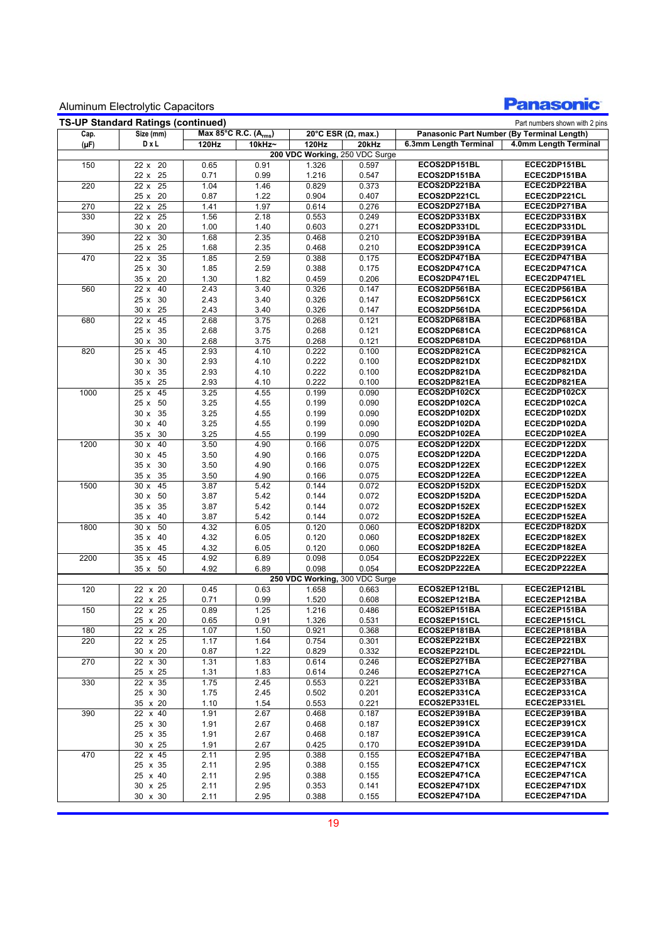

| <b>TS-UP Standard Ratings (continued)</b><br>Part numbers shown with 2 pins |                         |                      |              |                |                                |                              |                                            |  |  |  |
|-----------------------------------------------------------------------------|-------------------------|----------------------|--------------|----------------|--------------------------------|------------------------------|--------------------------------------------|--|--|--|
| Cap.                                                                        | Size (mm)               | Max 85°C R.C. (Arms) |              |                | 20°C ESR ( $\Omega$ , max.)    |                              | Panasonic Part Number (By Terminal Length) |  |  |  |
| $(\mu F)$                                                                   | DxL                     | 120Hz                | 10kHz~       | 120Hz          | 20kHz                          | 6.3mm Length Terminal        | 4.0mm Length Terminal                      |  |  |  |
|                                                                             |                         |                      |              |                | 200 VDC Working, 250 VDC Surge |                              |                                            |  |  |  |
| 150                                                                         | 22 x 20                 | 0.65                 | 0.91         | 1.326          | 0.597                          | ECOS2DP151BL                 | ECEC2DP151BL                               |  |  |  |
|                                                                             | 22 x 25                 | 0.71                 | 0.99         | 1.216          | 0.547                          | ECOS2DP151BA                 | ECEC2DP151BA                               |  |  |  |
| 220                                                                         | $22 \times 25$          | 1.04                 | 1.46         | 0.829          | 0.373                          | ECOS2DP221BA                 | ECEC2DP221BA                               |  |  |  |
|                                                                             | 25 x 20                 | 0.87                 | 1.22         | 0.904          | 0.407                          | ECOS2DP221CL                 | ECEC2DP221CL                               |  |  |  |
| 270                                                                         | $\overline{25}$<br>22x  | 1.41                 | 1.97         | 0.614          | 0.276                          | ECOS2DP271BA                 | ECEC2DP271BA                               |  |  |  |
| 330                                                                         | 25<br>22 x              | 1.56                 | 2.18         | 0.553          | 0.249                          | ECOS2DP331BX                 | ECEC2DP331BX                               |  |  |  |
|                                                                             | 30x<br>20               | 1.00                 | 1.40         | 0.603          | 0.271                          | ECOS2DP331DL                 | ECEC2DP331DL                               |  |  |  |
| 390                                                                         | 30<br>22x               | 1.68                 | 2.35         | 0.468          | 0.210                          | ECOS2DP391BA                 | ECEC2DP391BA                               |  |  |  |
|                                                                             | 25x<br>25               | 1.68                 | 2.35         | 0.468          | 0.210                          | ECOS2DP391CA                 | ECEC2DP391CA                               |  |  |  |
| 470                                                                         | 35<br>22x               | 1.85                 | 2.59         | 0.388          | 0.175                          | ECOS2DP471BA                 | ECEC2DP471BA                               |  |  |  |
|                                                                             | 25x<br>30               | 1.85                 | 2.59         | 0.388          | 0.175                          | ECOS2DP471CA                 | ECEC2DP471CA                               |  |  |  |
|                                                                             | 35 x 20                 | 1.30                 | 1.82         | 0.459          | 0.206                          | ECOS2DP471EL                 | ECEC2DP471EL                               |  |  |  |
| 560                                                                         | 40<br>$\overline{22}$ x | 2.43                 | 3.40         | 0.326          | 0.147                          | ECOS2DP561BA                 | ECEC2DP561BA                               |  |  |  |
|                                                                             | 25 x 30                 | 2.43                 | 3.40         | 0.326          | 0.147                          | ECOS2DP561CX                 | ECEC2DP561CX                               |  |  |  |
|                                                                             | 25<br>30x               | 2.43                 | 3.40         | 0.326          | 0.147                          | ECOS2DP561DA                 | ECEC2DP561DA                               |  |  |  |
| 680                                                                         | 45<br>22x               | 2.68                 | 3.75         | 0.268          | 0.121                          | ECOS2DP681BA                 | ECEC2DP681BA                               |  |  |  |
|                                                                             | 25 x 35                 | 2.68                 | 3.75         | 0.268          | 0.121                          | ECOS2DP681CA                 | ECEC2DP681CA                               |  |  |  |
|                                                                             | 30<br>30x               | 2.68                 | 3.75         | 0.268          | 0.121                          | ECOS2DP681DA                 | ECEC2DP681DA                               |  |  |  |
| 820                                                                         | 45<br>25x               | 2.93                 | 4.10         | 0.222          | 0.100                          | ECOS2DP821CA                 | ECEC2DP821CA                               |  |  |  |
|                                                                             | 30<br>30x               | 2.93                 | 4.10         | 0.222          | 0.100                          | ECOS2DP821DX                 | ECEC2DP821DX                               |  |  |  |
|                                                                             | 30 x 35                 | 2.93                 | 4.10         | 0.222          | 0.100                          | ECOS2DP821DA                 | ECEC2DP821DA                               |  |  |  |
|                                                                             | 25<br>35x               | 2.93                 | 4.10         | 0.222          | 0.100                          | ECOS2DP821EA                 | ECEC2DP821EA                               |  |  |  |
| 1000                                                                        | 45<br>25x               | 3.25                 | 4.55         | 0.199          | 0.090                          | ECOS2DP102CX                 | ECEC2DP102CX                               |  |  |  |
|                                                                             | 25x<br>50               | 3.25                 | 4.55         | 0.199          | 0.090                          | ECOS2DP102CA                 | ECEC2DP102CA                               |  |  |  |
|                                                                             | 30 x 35                 | 3.25                 | 4.55         | 0.199          | 0.090                          | ECOS2DP102DX                 | ECEC2DP102DX                               |  |  |  |
|                                                                             | 30 x 40                 | 3.25                 | 4.55         | 0.199          | 0.090                          | ECOS2DP102DA                 | ECEC2DP102DA                               |  |  |  |
|                                                                             | 30<br>35x               | 3.25                 | 4.55         | 0.199          | 0.090                          | ECOS2DP102EA                 | ECEC2DP102EA                               |  |  |  |
| 1200                                                                        | 40<br>30x               | 3.50                 | 4.90         | 0.166          | 0.075                          | ECOS2DP122DX                 | ECEC2DP122DX                               |  |  |  |
|                                                                             | 30 x 45                 | 3.50                 | 4.90         | 0.166          | 0.075                          | ECOS2DP122DA                 | ECEC2DP122DA                               |  |  |  |
|                                                                             | 35 x 30                 | 3.50                 | 4.90         | 0.166          | 0.075                          | ECOS2DP122EX                 | ECEC2DP122EX                               |  |  |  |
|                                                                             | 35<br>35 x              | 3.50                 | 4.90         | 0.166          | 0.075                          | ECOS2DP122EA                 | ECEC2DP122EA                               |  |  |  |
| 1500                                                                        | 30x<br>45               | 3.87                 | 5.42         | 0.144          | 0.072                          | ECOS2DP152DX                 | ECEC2DP152DX                               |  |  |  |
|                                                                             | 30x<br>50               | 3.87                 | 5.42         | 0.144          | 0.072                          | ECOS2DP152DA                 | ECEC2DP152DA                               |  |  |  |
|                                                                             | 35 x 35                 | 3.87                 | 5.42         | 0.144          | 0.072                          | ECOS2DP152EX                 | ECEC2DP152EX                               |  |  |  |
|                                                                             | 40<br>35 x<br>50<br>30x | 3.87                 | 5.42         | 0.144          | 0.072                          | ECOS2DP152EA<br>ECOS2DP182DX | ECEC2DP152EA<br>ECEC2DP182DX               |  |  |  |
| 1800                                                                        | 40                      | 4.32                 | 6.05         | 0.120          | 0.060                          |                              |                                            |  |  |  |
|                                                                             | 35x                     | 4.32<br>4.32         | 6.05<br>6.05 | 0.120          | 0.060                          | ECOS2DP182EX<br>ECOS2DP182EA | ECEC2DP182EX<br>ECEC2DP182EA               |  |  |  |
|                                                                             | 35x<br>45<br>45         |                      |              | 0.120<br>0.098 | 0.060                          | ECOS2DP222EX                 | ECEC2DP222EX                               |  |  |  |
| 2200                                                                        | 35x<br>35 x 50          | 4.92                 | 6.89<br>6.89 | 0.098          | 0.054<br>0.054                 | ECOS2DP222EA                 |                                            |  |  |  |
|                                                                             |                         | 4.92                 |              |                | 250 VDC Working, 300 VDC Surge |                              | ECEC2DP222EA                               |  |  |  |
| 120                                                                         | 22 x 20                 | 0.45                 | 0.63         | 1.658          | 0.663                          | ECOS2EP121BL                 | ECEC2EP121BL                               |  |  |  |
|                                                                             | 22 x 25                 | 0.71                 | 0.99         | 1.520          | 0.608                          | ECOS2EP121BA                 | ECEC2EP121BA                               |  |  |  |
| 150                                                                         | 22 x 25                 | 0.89                 | 1.25         | 1.216          | 0.486                          | ECOS2EP151BA                 | ECEC2EP151BA                               |  |  |  |
|                                                                             |                         |                      | 0.91         |                | 0.531                          | ECOS2EP151CL                 | ECEC2EP151CL                               |  |  |  |
| 180                                                                         | 25 x 20<br>22 x 25      | 0.65<br>1.07         | 1.50         | 1.326<br>0.921 | 0.368                          | ECOS2EP181BA                 | ECEC2EP181BA                               |  |  |  |
| 220                                                                         | 22 x 25                 | 1.17                 | 1.64         | 0.754          | 0.301                          | ECOS2EP221BX                 | ECEC2EP221BX                               |  |  |  |
|                                                                             | 30 x 20                 | 0.87                 | 1.22         | 0.829          | 0.332                          | ECOS2EP221DL                 | ECEC2EP221DL                               |  |  |  |
| 270                                                                         | 22 x 30                 | 1.31                 | 1.83         | 0.614          | 0.246                          | ECOS2EP271BA                 | ECEC2EP271BA                               |  |  |  |
|                                                                             | 25 x 25                 | 1.31                 | 1.83         | 0.614          | 0.246                          | ECOS2EP271CA                 | ECEC2EP271CA                               |  |  |  |
| 330                                                                         | 22 x 35                 | 1.75                 | 2.45         | 0.553          | 0.221                          | ECOS2EP331BA                 | ECEC2EP331BA                               |  |  |  |
|                                                                             | 25 x 30                 | 1.75                 | 2.45         | 0.502          | 0.201                          | ECOS2EP331CA                 | ECEC2EP331CA                               |  |  |  |
|                                                                             | 35 x 20                 | 1.10                 | 1.54         | 0.553          | 0.221                          | ECOS2EP331EL                 | ECEC2EP331EL                               |  |  |  |
| 390                                                                         | 22 x 40                 | 1.91                 | 2.67         | 0.468          | 0.187                          | ECOS2EP391BA                 | ECEC2EP391BA                               |  |  |  |
|                                                                             | 25 x 30                 | 1.91                 | 2.67         | 0.468          | 0.187                          | ECOS2EP391CX                 | ECEC2EP391CX                               |  |  |  |
|                                                                             | 25 x 35                 | 1.91                 | 2.67         | 0.468          | 0.187                          | ECOS2EP391CA                 | ECEC2EP391CA                               |  |  |  |
|                                                                             | 30 x 25                 | 1.91                 | 2.67         | 0.425          | 0.170                          | ECOS2EP391DA                 | ECEC2EP391DA                               |  |  |  |
| 470                                                                         | 22 x 45                 | 2.11                 | 2.95         | 0.388          | 0.155                          | ECOS2EP471BA                 | ECEC2EP471BA                               |  |  |  |
|                                                                             | 25 x 35                 | 2.11                 | 2.95         | 0.388          | 0.155                          | ECOS2EP471CX                 | ECEC2EP471CX                               |  |  |  |
|                                                                             | 25 x 40                 | 2.11                 | 2.95         | 0.388          | 0.155                          | ECOS2EP471CA                 | ECEC2EP471CA                               |  |  |  |
|                                                                             | 30 x 25                 | 2.11                 | 2.95         | 0.353          | 0.141                          | ECOS2EP471DX                 | ECEC2EP471DX                               |  |  |  |
|                                                                             | 30 x 30                 | 2.11                 | 2.95         | 0.388          | 0.155                          | ECOS2EP471DA                 | ECEC2EP471DA                               |  |  |  |
|                                                                             |                         |                      |              |                |                                |                              |                                            |  |  |  |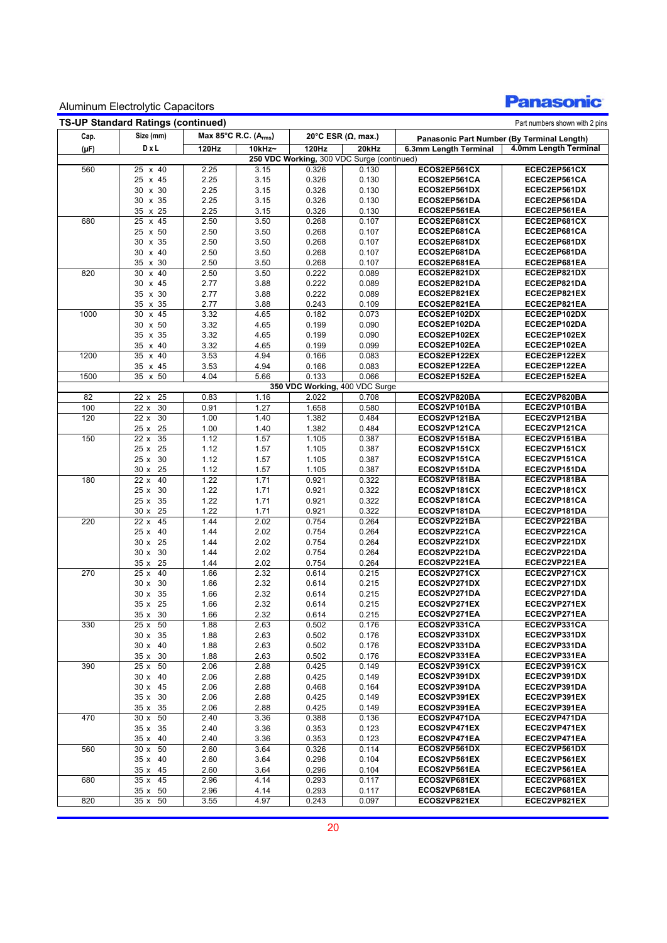### **Panasonic**

|           | <b>TS-UP Standard Ratings (continued)</b> | Max 85°C R.C. (A <sub>rms</sub> ) |              |                |                                                     | Part numbers shown with 2 pins |                                            |  |  |
|-----------|-------------------------------------------|-----------------------------------|--------------|----------------|-----------------------------------------------------|--------------------------------|--------------------------------------------|--|--|
| Cap.      | Size (mm)                                 |                                   |              |                | 20°C ESR ( $\Omega$ , max.)                         |                                | Panasonic Part Number (By Terminal Length) |  |  |
| $(\mu F)$ | DxL                                       | 120Hz                             | 10kHz~       | 120Hz          | 20kHz                                               | 6.3mm Length Terminal          | 4.0mm Length Terminal                      |  |  |
| 560       | 25 x 40                                   | 2.25                              | 3.15         | 0.326          | 250 VDC Working, 300 VDC Surge (continued)<br>0.130 | ECOS2EP561CX                   | ECEC2EP561CX                               |  |  |
|           | 25 x 45                                   | 2.25                              | 3.15         | 0.326          | 0.130                                               | ECOS2EP561CA                   | ECEC2EP561CA                               |  |  |
|           | 30 x 30                                   | 2.25                              | 3.15         | 0.326          | 0.130                                               | ECOS2EP561DX                   | ECEC2EP561DX                               |  |  |
|           | 30 x 35                                   | 2.25                              | 3.15         | 0.326          | 0.130                                               | ECOS2EP561DA                   | ECEC2EP561DA                               |  |  |
|           | 35 x 25                                   | 2.25                              | 3.15         | 0.326          | 0.130                                               | ECOS2EP561EA                   | ECEC2EP561EA                               |  |  |
| 680       | x 45<br>25                                | 2.50                              | 3.50         | 0.268          | 0.107                                               | ECOS2EP681CX                   | ECEC2EP681CX                               |  |  |
|           | 25 x 50                                   | 2.50                              | 3.50         | 0.268          | 0.107                                               | ECOS2EP681CA                   | ECEC2EP681CA                               |  |  |
|           | 30 x 35                                   | 2.50                              | 3.50         | 0.268          | 0.107                                               | ECOS2EP681DX                   | ECEC2EP681DX                               |  |  |
|           | 30 x 40                                   | 2.50                              | 3.50         | 0.268          | 0.107                                               | ECOS2EP681DA                   | ECEC2EP681DA                               |  |  |
|           | 35 x 30                                   | 2.50                              | 3.50         | 0.268          | 0.107                                               | ECOS2EP681EA                   | ECEC2EP681EA                               |  |  |
| 820       | 30<br>x 40                                | 2.50                              | 3.50         | 0.222          | 0.089                                               | ECOS2EP821DX                   | ECEC2EP821DX                               |  |  |
|           | 30 x 45                                   | 2.77                              | 3.88         | 0.222          | 0.089                                               | ECOS2EP821DA                   | ECEC2EP821DA                               |  |  |
|           | 35 x 30                                   | 2.77                              | 3.88         | 0.222          | 0.089                                               | ECOS2EP821EX                   | ECEC2EP821EX                               |  |  |
|           | 35 x 35                                   | 2.77                              | 3.88         | 0.243          | 0.109                                               | ECOS2EP821EA                   | ECEC2EP821EA                               |  |  |
| 1000      | 30 x 45                                   | 3.32                              | 4.65         | 0.182          | 0.073                                               | ECOS2EP102DX                   | ECEC2EP102DX                               |  |  |
|           | 30 x 50                                   | 3.32                              | 4.65         | 0.199          | 0.090                                               | ECOS2EP102DA                   | ECEC2EP102DA                               |  |  |
|           | 35 x 35                                   | 3.32                              | 4.65         | 0.199          | 0.090                                               | ECOS2EP102EX                   | ECEC2EP102EX                               |  |  |
|           | 35 x 40                                   | 3.32                              | 4.65         | 0.199          | 0.099                                               | ECOS2EP102EA                   | ECEC2EP102EA                               |  |  |
| 1200      | 35 x 40                                   | 3.53                              | 4.94         | 0.166          | 0.083                                               | ECOS2EP122EX                   | ECEC2EP122EX                               |  |  |
|           | 35 x 45                                   | 3.53                              | 4.94         | 0.166          | 0.083                                               | ECOS2EP122EA                   | ECEC2EP122EA                               |  |  |
| 1500      | $35 \times 50$                            | 4.04                              | 5.66         | 0.133          | 0.066                                               | ECOS2EP152EA                   | ECEC2EP152EA                               |  |  |
|           |                                           |                                   |              |                | 350 VDC Working, 400 VDC Surge<br>0.708             |                                | ECEC2VP820BA                               |  |  |
| 82<br>100 | 25<br>22x<br>30<br>22x                    | 0.83<br>0.91                      | 1.16<br>1.27 | 2.022<br>1.658 | 0.580                                               | ECOS2VP820BA<br>ECOS2VP101BA   | ECEC2VP101BA                               |  |  |
| 120       | 30<br>22x                                 | 1.00                              | 1.40         | 1.382          | 0.484                                               | ECOS2VP121BA                   | ECEC2VP121BA                               |  |  |
|           | 25<br>25x                                 | 1.00                              | 1.40         | 1.382          | 0.484                                               | ECOS2VP121CA                   | ECEC2VP121CA                               |  |  |
| 150       | 35<br>22x                                 | 1.12                              | 1.57         | 1.105          | 0.387                                               | ECOS2VP151BA                   | ECEC2VP151BA                               |  |  |
|           | 25 x 25                                   | 1.12                              | 1.57         | 1.105          | 0.387                                               | ECOS2VP151CX                   | ECEC2VP151CX                               |  |  |
|           | 25 x 30                                   | 1.12                              | 1.57         | 1.105          | 0.387                                               | ECOS2VP151CA                   | ECEC2VP151CA                               |  |  |
|           | 30 x 25                                   | 1.12                              | 1.57         | 1.105          | 0.387                                               | ECOS2VP151DA                   | ECEC2VP151DA                               |  |  |
| 180       | 40<br>22x                                 | 1.22                              | 1.71         | 0.921          | 0.322                                               | ECOS2VP181BA                   | ECEC2VP181BA                               |  |  |
|           | 25 x 30                                   | 1.22                              | 1.71         | 0.921          | 0.322                                               | ECOS2VP181CX                   | ECEC2VP181CX                               |  |  |
|           | 25 x 35                                   | 1.22                              | 1.71         | 0.921          | 0.322                                               | ECOS2VP181CA                   | ECEC2VP181CA                               |  |  |
|           | 30 x 25                                   | 1.22                              | 1.71         | 0.921          | 0.322                                               | ECOS2VP181DA                   | ECEC2VP181DA                               |  |  |
| 220       | 45<br>22x                                 | 1.44                              | 2.02         | 0.754          | 0.264                                               | ECOS2VP221BA                   | ECEC2VP221BA                               |  |  |
|           | 25 x 40                                   | 1.44                              | 2.02         | 0.754          | 0.264                                               | ECOS2VP221CA                   | ECEC2VP221CA                               |  |  |
|           | 30 x 25                                   | 1.44                              | 2.02         | 0.754          | 0.264                                               | ECOS2VP221DX                   | ECEC2VP221DX                               |  |  |
|           | 30 x 30                                   | 1.44                              | 2.02         | 0.754          | 0.264                                               | ECOS2VP221DA                   | ECEC2VP221DA                               |  |  |
|           | 25<br>35x                                 | 1.44                              | 2.02         | 0.754          | 0.264                                               | ECOS2VP221EA                   | ECEC2VP221EA                               |  |  |
| 270       | 40<br>25x                                 | 1.66                              | 2.32         | 0.614          | 0.215                                               | ECOS2VP271CX                   | ECEC2VP271CX                               |  |  |
|           | 30<br>30x                                 | 1.66                              | 2.32         | 0.614          | 0.215                                               | ECOS2VP271DX                   | ECEC2VP271DX                               |  |  |
|           | 30 x 35                                   | 1.66                              | 2.32         | 0.614          | 0.215                                               | ECOS2VP271DA                   | ECEC2VP271DA                               |  |  |
|           | 35 x 25                                   | 1.66                              | 2.32         | 0.614          | 0.215                                               | ECOS2VP271EX                   | ECEC2VP271EX                               |  |  |
|           | 35 x 30                                   | 1.66                              | 2.32         | 0.614          | 0 215                                               | ECOS2VP271EA                   | ECEC2VP271EA                               |  |  |
| 330       | $25 \times 50$                            | 1.88                              | 2.63         | 0.502          | 0.176                                               | ECOS2VP331CA                   | ECEC2VP331CA                               |  |  |
|           | 30 x 35                                   | 1.88                              | 2.63         | 0.502          | 0.176                                               | ECOS2VP331DX                   | ECEC2VP331DX                               |  |  |
|           | 30 x 40                                   | 1.88                              | 2.63         | 0.502          | 0.176                                               | ECOS2VP331DA                   | ECEC2VP331DA                               |  |  |
|           | 35 x 30                                   | 1.88                              | 2.63         | 0.502          | 0.176                                               | ECOS2VP331EA                   | ECEC2VP331EA                               |  |  |
| 390       | 25 x 50                                   | 2.06                              | 2.88         | 0.425          | 0.149                                               | ECOS2VP391CX<br>ECOS2VP391DX   | ECEC2VP391CX<br>ECEC2VP391DX               |  |  |
|           | 30 x 40<br>30 x 45                        | 2.06<br>2.06                      | 2.88<br>2.88 | 0.425<br>0.468 | 0.149<br>0.164                                      | ECOS2VP391DA                   | ECEC2VP391DA                               |  |  |
|           | 35 x 30                                   | 2.06                              | 2.88         | 0.425          | 0.149                                               | ECOS2VP391EX                   | ECEC2VP391EX                               |  |  |
|           | 35 x 35                                   | 2.06                              | 2.88         | 0.425          | 0.149                                               | ECOS2VP391EA                   | ECEC2VP391EA                               |  |  |
| 470       | 30 x 50                                   | 2.40                              | 3.36         | 0.388          | 0.136                                               | ECOS2VP471DA                   | ECEC2VP471DA                               |  |  |
|           | 35 x 35                                   | 2.40                              | 3.36         | 0.353          | 0.123                                               | ECOS2VP471EX                   | ECEC2VP471EX                               |  |  |
|           | 35 x 40                                   | 2.40                              | 3.36         | 0.353          | 0.123                                               | ECOS2VP471EA                   | ECEC2VP471EA                               |  |  |
| 560       | 30 x 50                                   | 2.60                              | 3.64         | 0.326          | 0.114                                               | ECOS2VP561DX                   | ECEC2VP561DX                               |  |  |
|           | 35 x 40                                   | 2.60                              | 3.64         | 0.296          | 0.104                                               | ECOS2VP561EX                   | ECEC2VP561EX                               |  |  |
|           | 35 x 45                                   | 2.60                              | 3.64         | 0.296          | 0.104                                               | ECOS2VP561EA                   | ECEC2VP561EA                               |  |  |
| 680       | 35 x 45                                   | 2.96                              | 4.14         | 0.293          | 0.117                                               | ECOS2VP681EX                   | ECEC2VP681EX                               |  |  |
|           | 35 x 50                                   | 2.96                              | 4.14         | 0.293          | 0.117                                               | ECOS2VP681EA                   | ECEC2VP681EA                               |  |  |
| 820       | 35x<br>50                                 | 3.55                              | 4.97         | 0.243          | 0.097                                               | ECOS2VP821EX                   | ECEC2VP821EX                               |  |  |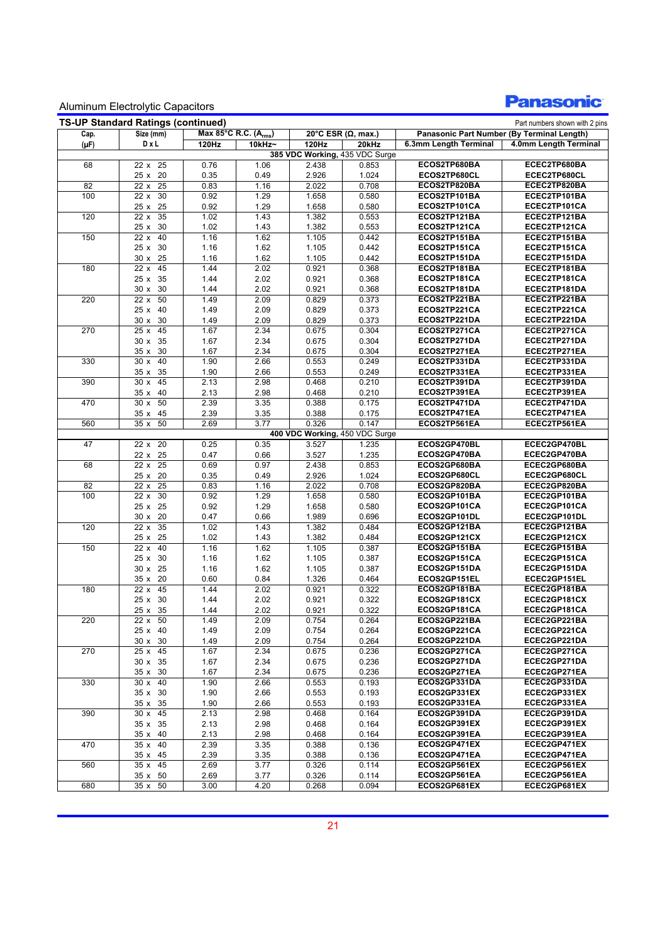## **Panasonic**

|           | <b>TS-UP Standard Ratings (continued)</b> |              |                                   |                |                                |                              | Part numbers shown with 2 pins             |
|-----------|-------------------------------------------|--------------|-----------------------------------|----------------|--------------------------------|------------------------------|--------------------------------------------|
| Cap.      | Size (mm)                                 |              | Max 85°C R.C. (A <sub>rms</sub> ) |                | 20°C ESR ( $\Omega$ , max.)    |                              | Panasonic Part Number (By Terminal Length) |
| $(\mu F)$ | DxL                                       | 120Hz        | 10kHz~                            | 120Hz          | 20kHz                          | 6.3mm Length Terminal        | 4.0mm Length Terminal                      |
|           |                                           |              |                                   |                | 385 VDC Working, 435 VDC Surge |                              |                                            |
| 68        | $22 \times 25$                            | 0.76         | 1.06                              | 2.438          | 0.853                          | ECOS2TP680BA                 | ECEC2TP680BA                               |
| 82        | 25 x 20<br>25<br>22x                      | 0.35<br>0.83 | 0.49<br>1.16                      | 2.926<br>2.022 | 1.024<br>0.708                 | ECOS2TP680CL<br>ECOS2TP820BA | ECEC2TP680CL<br>ECEC2TP820BA               |
| 100       | 30<br>22 x                                | 0.92         | 1.29                              | 1.658          | 0.580                          | ECOS2TP101BA                 | ECEC2TP101BA                               |
|           | 25 x 25                                   |              | 1.29                              | 1.658          | 0.580                          | ECOS2TP101CA                 | ECEC2TP101CA                               |
| 120       | 35<br>22x                                 | 0.92<br>1.02 | 1.43                              | 1.382          | 0.553                          | ECOS2TP121BA                 | ECEC2TP121BA                               |
|           | 30<br>25x                                 | 1.02         | 1.43                              | 1.382          | 0.553                          | ECOS2TP121CA                 | ECEC2TP121CA                               |
| 150       | 40<br>22x                                 | 1.16         | 1.62                              | 1.105          | 0.442                          | ECOS2TP151BA                 | ECEC2TP151BA                               |
|           | 25 x 30                                   | 1.16         | 1.62                              | 1.105          | 0.442                          | ECOS2TP151CA                 | ECEC2TP151CA                               |
|           | 30 x 25                                   | 1.16         | 1.62                              | 1.105          | 0.442                          | ECOS2TP151DA                 | ECEC2TP151DA                               |
| 180       | 45<br>22x                                 | 1.44         | 2.02                              | 0.921          | 0.368                          | ECOS2TP181BA                 | ECEC2TP181BA                               |
|           | 25 x 35                                   | 1.44         | 2.02                              | 0.921          | 0.368                          | ECOS2TP181CA                 | ECEC2TP181CA                               |
|           | 30<br>30x                                 | 1.44         | 2.02                              | 0.921          | 0.368                          | ECOS2TP181DA                 | ECEC2TP181DA                               |
| 220       | 50<br>22x                                 | 1.49         | 2.09                              | 0.829          | 0.373                          | ECOS2TP221BA                 | ECEC2TP221BA                               |
|           | 25 x 40                                   | 1.49         | 2.09                              | 0.829          | 0.373                          | ECOS2TP221CA                 | ECEC2TP221CA                               |
|           | 30 x 30                                   | 1.49         | 2.09                              | 0.829          | 0.373                          | ECOS2TP221DA                 | ECEC2TP221DA                               |
| 270       | 25x<br>45                                 | 1.67         | 2.34                              | 0.675          | 0.304                          | ECOS2TP271CA                 | ECEC2TP271CA                               |
|           | 35<br>30x                                 | 1.67         | 2.34                              | 0.675          | 0.304                          | ECOS2TP271DA                 | ECEC2TP271DA                               |
|           | 35 x 30                                   | 1.67         | 2.34                              | 0.675          | 0.304                          | ECOS2TP271EA                 | ECEC2TP271EA                               |
| 330       | 30x<br>40                                 | 1.90         | 2.66                              | 0.553          | 0.249                          | ECOS2TP331DA                 | ECEC2TP331DA                               |
|           | 35x<br>35                                 | 1.90         | 2.66                              | 0.553          | 0.249                          | ECOS2TP331EA                 | ECEC2TP331EA                               |
| 390       | 45<br>30x                                 | 2.13         | 2.98                              | 0.468          | 0.210                          | ECOS2TP391DA                 | ECEC2TP391DA                               |
|           | 35 x 40                                   | 2.13         | 2.98                              | 0.468          | 0.210                          | ECOS2TP391EA                 | ECEC2TP391EA                               |
| 470       | 30x<br>50                                 | 2.39         | 3.35                              | 0.388          | 0.175                          | ECOS2TP471DA                 | ECEC2TP471DA                               |
|           | 45<br>35x                                 | 2.39         | 3.35                              | 0.388          | 0.175                          | ECOS2TP471EA                 | ECEC2TP471EA                               |
| 560       | 50<br>35x                                 | 2.69         | 3.77                              | 0.326          | 0.147                          | ECOS2TP561EA                 | ECEC2TP561EA                               |
|           |                                           |              |                                   |                | 400 VDC Working, 450 VDC Surge |                              |                                            |
| 47        | 22 x 20                                   | 0.25         | 0.35                              | 3.527          | 1.235                          | ECOS2GP470BL                 | ECEC2GP470BL                               |
|           | 22 x 25                                   | 0.47         | 0.66                              | 3.527          | 1.235                          | ECOS2GP470BA                 | ECEC2GP470BA                               |
| 68        | $\overline{25}$<br>22x                    | 0.69         | 0.97                              | 2.438          | 0.853                          | ECOS2GP680BA                 | ECEC2GP680BA                               |
|           | 25 x 20                                   | 0.35         | 0.49                              | 2.926          | 1.024                          | ECOS2GP680CL                 | ECEC2GP680CL                               |
| 82        | 25<br>22 x                                | 0.83         | 1.16                              | 2.022          | 0.708                          | ECOS2GP820BA                 | ECEC2GP820BA                               |
| 100       | 30<br>22 x                                | 0.92         | 1.29                              | 1.658          | 0.580                          | ECOS2GP101BA                 | ECEC2GP101BA                               |
|           | 25 x 25                                   | 0.92         | 1.29                              | 1.658          | 0.580                          | ECOS2GP101CA                 | ECEC2GP101CA                               |
|           | 30 x 20                                   | 0.47         | 0.66                              | 1.989          | 0.696                          | ECOS2GP101DL                 | ECEC2GP101DL                               |
| 120       | 35<br>22 x<br>25 x 25                     | 1.02         | 1.43                              | 1.382          | 0.484                          | ECOS2GP121BA                 | ECEC2GP121BA                               |
| 150       | 40<br>22 x                                | 1.02<br>1.16 | 1.43<br>1.62                      | 1.382<br>1.105 | 0.484<br>0.387                 | ECOS2GP121CX<br>ECOS2GP151BA | ECEC2GP121CX<br>ECEC2GP151BA               |
|           | 25 x 30                                   | 1.16         |                                   |                |                                | ECOS2GP151CA                 | ECEC2GP151CA                               |
|           | 30 x 25                                   |              | 1.62<br>1.62                      | 1.105          | 0.387                          | ECOS2GP151DA                 | ECEC2GP151DA                               |
|           | 35 x 20                                   | 1.16<br>0.60 | 0.84                              | 1.105<br>1.326 | 0.387<br>0.464                 | ECOS2GP151EL                 | ECEC2GP151EL                               |
| 180       | 45<br>22 x                                | 1.44         | 2.02                              | 0.921          | 0.322                          | ECOS2GP181BA                 | ECEC2GP181BA                               |
|           | 25 x 30                                   | 1.44         | 2.02                              | 0.921          | 0.322                          | ECOS2GP181CX                 | ECEC2GP181CX                               |
|           | 25 x 35                                   | 1.44         | 2.02                              | 0.921          | 0.322                          | ECOS2GP181CA                 | ECEC2GP181CA                               |
| 220       | 22 x 50                                   | 1.49         | 2.09                              | 0.754          | 0.264                          | ECOS2GP221BA                 | ECEC2GP221BA                               |
|           | 25 x 40                                   | 1.49         | 2.09                              | 0.754          | 0.264                          | ECOS2GP221CA                 | ECEC2GP221CA                               |
|           | 30 x 30                                   | 1.49         | 2.09                              | 0.754          | 0.264                          | ECOS2GP221DA                 | ECEC2GP221DA                               |
| 270       | 25 x 45                                   | 1.67         | 2.34                              | 0.675          | 0.236                          | ECOS2GP271CA                 | ECEC2GP271CA                               |
|           | 30 x 35                                   | 1.67         | 2.34                              | 0.675          | 0.236                          | ECOS2GP271DA                 | ECEC2GP271DA                               |
|           | 35 x 30                                   | 1.67         | 2.34                              | 0.675          | 0.236                          | ECOS2GP271EA                 | ECEC2GP271EA                               |
| 330       | 30 x 40                                   | 1.90         | 2.66                              | 0.553          | 0.193                          | ECOS2GP331DA                 | ECEC2GP331DA                               |
|           | 35 x 30                                   | 1.90         | 2.66                              | 0.553          | 0.193                          | ECOS2GP331EX                 | ECEC2GP331EX                               |
|           | 35 x 35                                   | 1.90         | 2.66                              | 0.553          | 0.193                          | ECOS2GP331EA                 | ECEC2GP331EA                               |
| 390       | 30 x 45                                   | 2.13         | 2.98                              | 0.468          | 0.164                          | ECOS2GP391DA                 | ECEC2GP391DA                               |
|           | 35 x 35                                   | 2.13         | 2.98                              | 0.468          | 0.164                          | ECOS2GP391EX                 | ECEC2GP391EX                               |
|           | 35 x 40                                   | 2.13         | 2.98                              | 0.468          | 0.164                          | ECOS2GP391EA                 | ECEC2GP391EA                               |
| 470       | 35 x 40                                   | 2.39         | 3.35                              | 0.388          | 0.136                          | ECOS2GP471EX                 | ECEC2GP471EX                               |
|           | 35 x 45                                   | 2.39         | 3.35                              | 0.388          | 0.136                          | ECOS2GP471EA                 | ECEC2GP471EA                               |
| 560       | 35 x 45                                   | 2.69         | 3.77                              | 0.326          | 0.114                          | ECOS2GP561EX                 | ECEC2GP561EX                               |
|           | 35 x 50                                   | 2.69         | 3.77                              | 0.326          | 0.114                          | ECOS2GP561EA                 | ECEC2GP561EA                               |
| 680       | 35 x 50                                   | 3.00         | 4.20                              | 0.268          | 0.094                          | ECOS2GP681EX                 | ECEC2GP681EX                               |